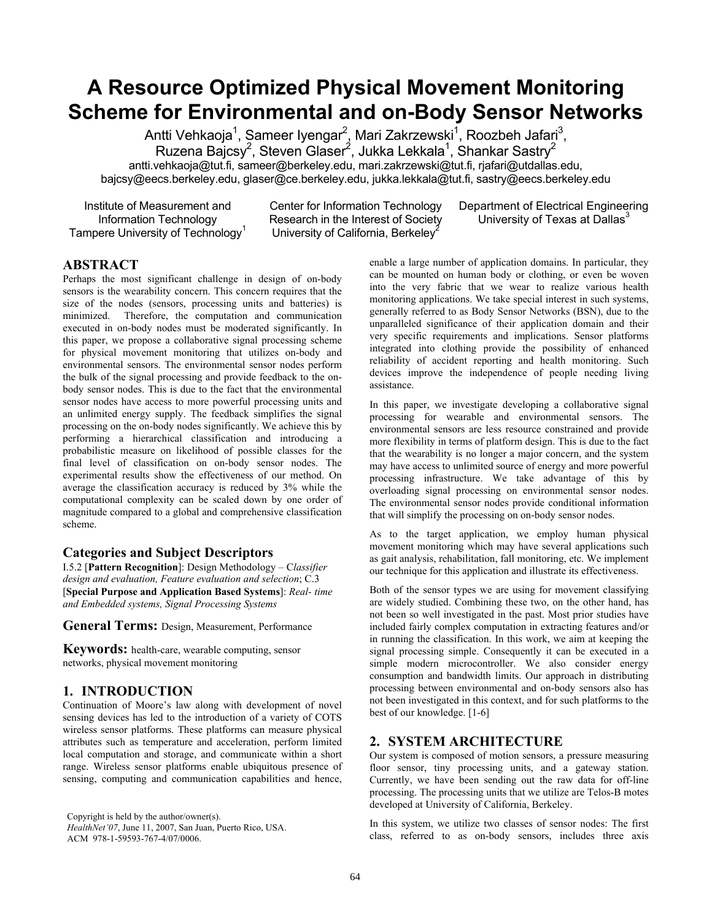# **A Resource Optimized Physical Movement Monitoring Scheme for Environmental and on-Body Sensor Networks**

Antti Vehkaoja<sup>1</sup>, Sameer Iyengar<sup>2</sup>, Mari Zakrzewski<sup>1</sup>, Roozbeh Jafari<sup>3</sup>,

Ruzena Bajcsy<sup>2</sup>, Steven Glaser<sup>2</sup>, Jukka Lekkala<sup>1</sup>, Shankar Sastry<sup>2</sup>

antti.vehkaoja@tut.fi, sameer@berkeley.edu, mari.zakrzewski@tut.fi, rjafari@utdallas.edu, bajcsy@eecs.berkeley.edu, glaser@ce.berkeley.edu, jukka.lekkala@tut.fi, sastry@eecs.berkeley.edu

Institute of Measurement and Information Technology Tampere University of Technology<sup>1</sup> Center for Information Technology Research in the Interest of Society University of California, Berkeley<sup>2</sup>

Department of Electrical Engineering University of Texas at Dallas $3$ 

# **ABSTRACT**

Perhaps the most significant challenge in design of on-body sensors is the wearability concern. This concern requires that the size of the nodes (sensors, processing units and batteries) is minimized. Therefore, the computation and communication executed in on-body nodes must be moderated significantly. In this paper, we propose a collaborative signal processing scheme for physical movement monitoring that utilizes on-body and environmental sensors. The environmental sensor nodes perform the bulk of the signal processing and provide feedback to the onbody sensor nodes. This is due to the fact that the environmental sensor nodes have access to more powerful processing units and an unlimited energy supply. The feedback simplifies the signal processing on the on-body nodes significantly. We achieve this by performing a hierarchical classification and introducing a probabilistic measure on likelihood of possible classes for the final level of classification on on-body sensor nodes. The experimental results show the effectiveness of our method. On average the classification accuracy is reduced by 3% while the computational complexity can be scaled down by one order of magnitude compared to a global and comprehensive classification scheme.

# **Categories and Subject Descriptors**

I.5.2 [**Pattern Recognition**]: Design Methodology – C*lassifier design and evaluation, Feature evaluation and selection*; C.3 [**Special Purpose and Application Based Systems**]: *Real- time and Embedded systems, Signal Processing Systems* 

**General Terms:** Design, Measurement, Performance

**Keywords:** health-care, wearable computing, sensor networks, physical movement monitoring

# **1. INTRODUCTION**

Continuation of Moore's law along with development of novel sensing devices has led to the introduction of a variety of COTS wireless sensor platforms. These platforms can measure physical attributes such as temperature and acceleration, perform limited local computation and storage, and communicate within a short range. Wireless sensor platforms enable ubiquitous presence of sensing, computing and communication capabilities and hence,

Copyright is held by the author/owner(s). *HealthNet'07*, June 11, 2007, San Juan, Puerto Rico, USA. ACM 978-1-59593-767-4/07/0006.

enable a large number of application domains. In particular, they can be mounted on human body or clothing, or even be woven into the very fabric that we wear to realize various health monitoring applications. We take special interest in such systems, generally referred to as Body Sensor Networks (BSN), due to the unparalleled significance of their application domain and their very specific requirements and implications. Sensor platforms integrated into clothing provide the possibility of enhanced reliability of accident reporting and health monitoring. Such devices improve the independence of people needing living assistance.

In this paper, we investigate developing a collaborative signal processing for wearable and environmental sensors. The environmental sensors are less resource constrained and provide more flexibility in terms of platform design. This is due to the fact that the wearability is no longer a major concern, and the system may have access to unlimited source of energy and more powerful processing infrastructure. We take advantage of this by overloading signal processing on environmental sensor nodes. The environmental sensor nodes provide conditional information that will simplify the processing on on-body sensor nodes.

As to the target application, we employ human physical movement monitoring which may have several applications such as gait analysis, rehabilitation, fall monitoring, etc. We implement our technique for this application and illustrate its effectiveness.

Both of the sensor types we are using for movement classifying are widely studied. Combining these two, on the other hand, has not been so well investigated in the past. Most prior studies have included fairly complex computation in extracting features and/or in running the classification. In this work, we aim at keeping the signal processing simple. Consequently it can be executed in a simple modern microcontroller. We also consider energy consumption and bandwidth limits. Our approach in distributing processing between environmental and on-body sensors also has not been investigated in this context, and for such platforms to the best of our knowledge. [1-6]

# **2. SYSTEM ARCHITECTURE**

Our system is composed of motion sensors, a pressure measuring floor sensor, tiny processing units, and a gateway station. Currently, we have been sending out the raw data for off-line processing. The processing units that we utilize are Telos-B motes developed at University of California, Berkeley.

In this system, we utilize two classes of sensor nodes: The first class, referred to as on-body sensors, includes three axis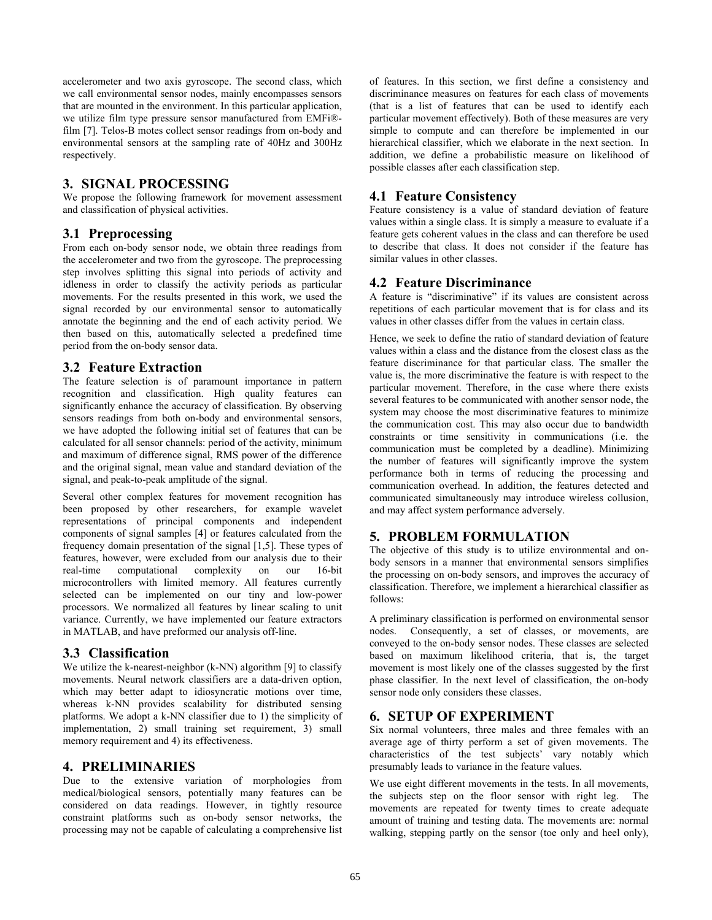accelerometer and two axis gyroscope. The second class, which we call environmental sensor nodes, mainly encompasses sensors that are mounted in the environment. In this particular application, we utilize film type pressure sensor manufactured from EMFi® film [7]. Telos-B motes collect sensor readings from on-body and environmental sensors at the sampling rate of 40Hz and 300Hz respectively.

# **3. SIGNAL PROCESSING**

We propose the following framework for movement assessment and classification of physical activities.

## **3.1 Preprocessing**

From each on-body sensor node, we obtain three readings from the accelerometer and two from the gyroscope. The preprocessing step involves splitting this signal into periods of activity and idleness in order to classify the activity periods as particular movements. For the results presented in this work, we used the signal recorded by our environmental sensor to automatically annotate the beginning and the end of each activity period. We then based on this, automatically selected a predefined time period from the on-body sensor data.

## **3.2 Feature Extraction**

The feature selection is of paramount importance in pattern recognition and classification. High quality features can significantly enhance the accuracy of classification. By observing sensors readings from both on-body and environmental sensors, we have adopted the following initial set of features that can be calculated for all sensor channels: period of the activity, minimum and maximum of difference signal, RMS power of the difference and the original signal, mean value and standard deviation of the signal, and peak-to-peak amplitude of the signal.

Several other complex features for movement recognition has been proposed by other researchers, for example wavelet representations of principal components and independent components of signal samples [4] or features calculated from the frequency domain presentation of the signal [1,5]. These types of features, however, were excluded from our analysis due to their real-time computational complexity on our 16-bit microcontrollers with limited memory. All features currently selected can be implemented on our tiny and low-power processors. We normalized all features by linear scaling to unit variance. Currently, we have implemented our feature extractors in MATLAB, and have preformed our analysis off-line.

## **3.3 Classification**

We utilize the k-nearest-neighbor (k-NN) algorithm [9] to classify movements. Neural network classifiers are a data-driven option, which may better adapt to idiosyncratic motions over time, whereas k-NN provides scalability for distributed sensing platforms. We adopt a k-NN classifier due to 1) the simplicity of implementation, 2) small training set requirement, 3) small memory requirement and 4) its effectiveness.

#### **4. PRELIMINARIES**

Due to the extensive variation of morphologies from medical/biological sensors, potentially many features can be considered on data readings. However, in tightly resource constraint platforms such as on-body sensor networks, the processing may not be capable of calculating a comprehensive list

of features. In this section, we first define a consistency and discriminance measures on features for each class of movements (that is a list of features that can be used to identify each particular movement effectively). Both of these measures are very simple to compute and can therefore be implemented in our hierarchical classifier, which we elaborate in the next section. In addition, we define a probabilistic measure on likelihood of possible classes after each classification step.

## **4.1 Feature Consistency**

Feature consistency is a value of standard deviation of feature values within a single class. It is simply a measure to evaluate if a feature gets coherent values in the class and can therefore be used to describe that class. It does not consider if the feature has similar values in other classes.

## **4.2 Feature Discriminance**

A feature is "discriminative" if its values are consistent across repetitions of each particular movement that is for class and its values in other classes differ from the values in certain class.

Hence, we seek to define the ratio of standard deviation of feature values within a class and the distance from the closest class as the feature discriminance for that particular class. The smaller the value is, the more discriminative the feature is with respect to the particular movement. Therefore, in the case where there exists several features to be communicated with another sensor node, the system may choose the most discriminative features to minimize the communication cost. This may also occur due to bandwidth constraints or time sensitivity in communications (i.e. the communication must be completed by a deadline). Minimizing the number of features will significantly improve the system performance both in terms of reducing the processing and communication overhead. In addition, the features detected and communicated simultaneously may introduce wireless collusion, and may affect system performance adversely.

# **5. PROBLEM FORMULATION**

The objective of this study is to utilize environmental and onbody sensors in a manner that environmental sensors simplifies the processing on on-body sensors, and improves the accuracy of classification. Therefore, we implement a hierarchical classifier as follows:

A preliminary classification is performed on environmental sensor nodes. Consequently, a set of classes, or movements, are conveyed to the on-body sensor nodes. These classes are selected based on maximum likelihood criteria, that is, the target movement is most likely one of the classes suggested by the first phase classifier. In the next level of classification, the on-body sensor node only considers these classes.

## **6. SETUP OF EXPERIMENT**

Six normal volunteers, three males and three females with an average age of thirty perform a set of given movements. The characteristics of the test subjects' vary notably which presumably leads to variance in the feature values.

We use eight different movements in the tests. In all movements, the subjects step on the floor sensor with right leg. The movements are repeated for twenty times to create adequate amount of training and testing data. The movements are: normal walking, stepping partly on the sensor (toe only and heel only),